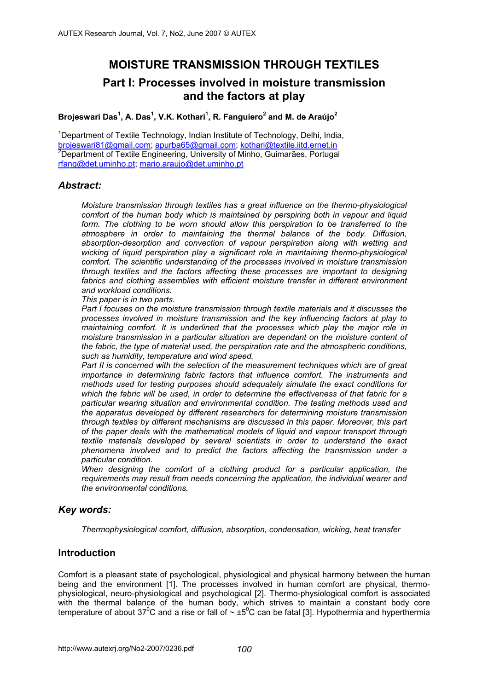# **MOISTURE TRANSMISSION THROUGH TEXTILES**

# **Part I: Processes involved in moisture transmission and the factors at play**

#### **Brojeswari Das<sup>1</sup> , A. Das<sup>1</sup> , V.K. Kothari<sup>1</sup> , R. Fanguiero<sup>2</sup> and M. de Araújo<sup>2</sup>**

<sup>1</sup>Department of Textile Technology, Indian Institute of Technology, Delhi, India, <u>brojeswari81@gmail.com; apurba65@gmail.com; kothari@textile.iitd.ernet.in</u><br><sup>2</sup>Department of Textile Engineering, University of Minho, Guimarães, Portugal rfang@det.uminho.pt; mario.araujo@det.uminho.pt

#### *Abstract:*

*Moisture transmission through textiles has a great influence on the thermo-physiological comfort of the human body which is maintained by perspiring both in vapour and liquid*  form. The clothing to be worn should allow this perspiration to be transferred to the *atmosphere in order to maintaining the thermal balance of the body. Diffusion, absorption-desorption and convection of vapour perspiration along with wetting and wicking of liquid perspiration play a significant role in maintaining thermo-physiological comfort. The scientific understanding of the processes involved in moisture transmission through textiles and the factors affecting these processes are important to designing*  fabrics and clothing assemblies with efficient moisture transfer in different environment *and workload conditions.* 

*This paper is in two parts.* 

*Part I focuses on the moisture transmission through textile materials and it discusses the processes involved in moisture transmission and the key influencing factors at play to maintaining comfort. It is underlined that the processes which play the major role in moisture transmission in a particular situation are dependant on the moisture content of the fabric, the type of material used, the perspiration rate and the atmospheric conditions, such as humidity, temperature and wind speed.* 

*Part II is concerned with the selection of the measurement techniques which are of great importance in determining fabric factors that influence comfort. The instruments and methods used for testing purposes should adequately simulate the exact conditions for which the fabric will be used, in order to determine the effectiveness of that fabric for a particular wearing situation and environmental condition. The testing methods used and the apparatus developed by different researchers for determining moisture transmission through textiles by different mechanisms are discussed in this paper. Moreover, this part of the paper deals with the mathematical models of liquid and vapour transport through textile materials developed by several scientists in order to understand the exact phenomena involved and to predict the factors affecting the transmission under a particular condition.* 

*When designing the comfort of a clothing product for a particular application, the requirements may result from needs concerning the application, the individual wearer and the environmental conditions.* 

## *Key words:*

*Thermophysiological comfort, diffusion, absorption, condensation, wicking, heat transfer* 

## **Introduction**

Comfort is a pleasant state of psychological, physiological and physical harmony between the human being and the environment [1]. The processes involved in human comfort are physical, thermophysiological, neuro-physiological and psychological [2]. Thermo-physiological comfort is associated with the thermal balance of the human body, which strives to maintain a constant body core temperature of about 37<sup>o</sup>C and a rise or fall of  $\sim \pm 5^{\circ}$ C can be fatal [3]. Hypothermia and hyperthermia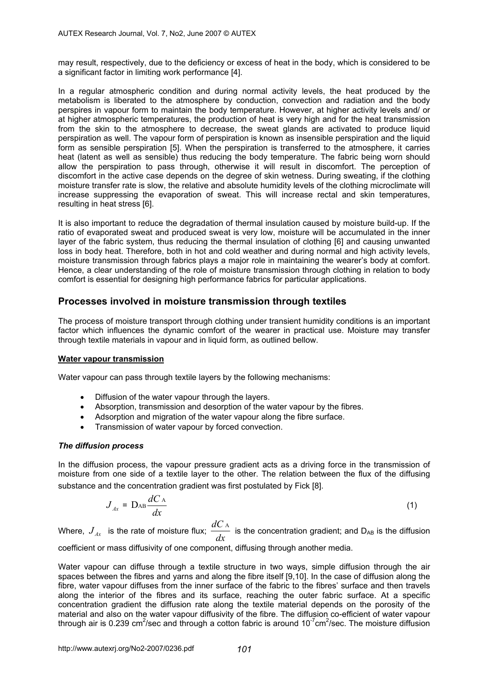may result, respectively, due to the deficiency or excess of heat in the body, which is considered to be a significant factor in limiting work performance [4].

In a regular atmospheric condition and during normal activity levels, the heat produced by the metabolism is liberated to the atmosphere by conduction, convection and radiation and the body perspires in vapour form to maintain the body temperature. However, at higher activity levels and/ or at higher atmospheric temperatures, the production of heat is very high and for the heat transmission from the skin to the atmosphere to decrease, the sweat glands are activated to produce liquid perspiration as well. The vapour form of perspiration is known as insensible perspiration and the liquid form as sensible perspiration [5]. When the perspiration is transferred to the atmosphere, it carries heat (latent as well as sensible) thus reducing the body temperature. The fabric being worn should allow the perspiration to pass through, otherwise it will result in discomfort. The perception of discomfort in the active case depends on the degree of skin wetness. During sweating, if the clothing moisture transfer rate is slow, the relative and absolute humidity levels of the clothing microclimate will increase suppressing the evaporation of sweat. This will increase rectal and skin temperatures, resulting in heat stress [6].

It is also important to reduce the degradation of thermal insulation caused by moisture build-up. If the ratio of evaporated sweat and produced sweat is very low, moisture will be accumulated in the inner layer of the fabric system, thus reducing the thermal insulation of clothing [6] and causing unwanted loss in body heat. Therefore, both in hot and cold weather and during normal and high activity levels, moisture transmission through fabrics plays a major role in maintaining the wearer's body at comfort. Hence, a clear understanding of the role of moisture transmission through clothing in relation to body comfort is essential for designing high performance fabrics for particular applications.

## **Processes involved in moisture transmission through textiles**

The process of moisture transport through clothing under transient humidity conditions is an important factor which influences the dynamic comfort of the wearer in practical use. Moisture may transfer through textile materials in vapour and in liquid form, as outlined bellow.

#### **Water vapour transmission**

Water vapour can pass through textile layers by the following mechanisms:

- Diffusion of the water vapour through the layers.
- Absorption, transmission and desorption of the water vapour by the fibres.
- Adsorption and migration of the water vapour along the fibre surface.
- Transmission of water vapour by forced convection.

#### *The diffusion process*

In the diffusion process, the vapour pressure gradient acts as a driving force in the transmission of moisture from one side of a textile layer to the other. The relation between the flux of the diffusing substance and the concentration gradient was first postulated by Fick [8].

$$
J_{Ax} = D_{AB} \frac{dC_A}{dx}
$$
 (1)

Where,  $J_{_{A\!x}}\,$  is the rate of moisture flux;  $\frac{dC_{\rm A}}{dx}\,$  is the concentration gradient; and D<sub>AB</sub> is the diffusion

coefficient or mass diffusivity of one component, diffusing through another media.

Water vapour can diffuse through a textile structure in two ways, simple diffusion through the air spaces between the fibres and yarns and along the fibre itself [9,10]. In the case of diffusion along the fibre, water vapour diffuses from the inner surface of the fabric to the fibres' surface and then travels along the interior of the fibres and its surface, reaching the outer fabric surface. At a specific concentration gradient the diffusion rate along the textile material depends on the porosity of the material and also on the water vapour diffusivity of the fibre. The diffusion co-efficient of water vapour through air is 0.239 cm<sup>2</sup>/sec and through a cotton fabric is around 10<sup>-7</sup>cm<sup>2</sup>/sec. The moisture diffusion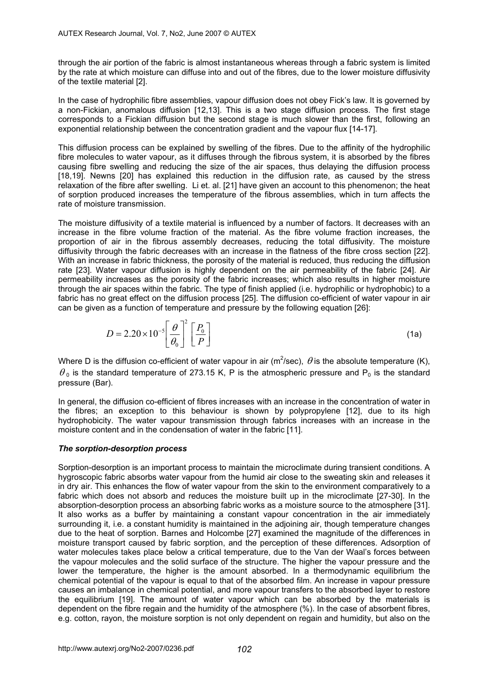through the air portion of the fabric is almost instantaneous whereas through a fabric system is limited by the rate at which moisture can diffuse into and out of the fibres, due to the lower moisture diffusivity of the textile material [2].

In the case of hydrophilic fibre assemblies, vapour diffusion does not obey Fick's law. It is governed by a non-Fickian, anomalous diffusion [12,13]. This is a two stage diffusion process. The first stage corresponds to a Fickian diffusion but the second stage is much slower than the first, following an exponential relationship between the concentration gradient and the vapour flux [14-17].

This diffusion process can be explained by swelling of the fibres. Due to the affinity of the hydrophilic fibre molecules to water vapour, as it diffuses through the fibrous system, it is absorbed by the fibres causing fibre swelling and reducing the size of the air spaces, thus delaying the diffusion process [18,19]. Newns [20] has explained this reduction in the diffusion rate, as caused by the stress relaxation of the fibre after swelling. Li et. al. [21] have given an account to this phenomenon; the heat of sorption produced increases the temperature of the fibrous assemblies, which in turn affects the rate of moisture transmission.

The moisture diffusivity of a textile material is influenced by a number of factors. It decreases with an increase in the fibre volume fraction of the material. As the fibre volume fraction increases, the proportion of air in the fibrous assembly decreases, reducing the total diffusivity. The moisture diffusivity through the fabric decreases with an increase in the flatness of the fibre cross section [22]. With an increase in fabric thickness, the porosity of the material is reduced, thus reducing the diffusion rate [23]. Water vapour diffusion is highly dependent on the air permeability of the fabric [24]. Air permeability increases as the porosity of the fabric increases; which also results in higher moisture through the air spaces within the fabric. The type of finish applied (i.e. hydrophilic or hydrophobic) to a fabric has no great effect on the diffusion process [25]. The diffusion co-efficient of water vapour in air can be given as a function of temperature and pressure by the following equation [26]:

$$
D = 2.20 \times 10^{-5} \left[ \frac{\theta}{\theta_0} \right]^2 \left[ \frac{P_0}{P} \right]
$$
 (1a)

Where D is the diffusion co-efficient of water vapour in air (m<sup>2</sup>/sec),  $\theta$  is the absolute temperature (K),  $\theta_0$  is the standard temperature of 273.15 K, P is the atmospheric pressure and P<sub>0</sub> is the standard pressure (Bar).

In general, the diffusion co-efficient of fibres increases with an increase in the concentration of water in the fibres; an exception to this behaviour is shown by polypropylene [12], due to its high hydrophobicity. The water vapour transmission through fabrics increases with an increase in the moisture content and in the condensation of water in the fabric [11].

#### *The sorption-desorption process*

Sorption-desorption is an important process to maintain the microclimate during transient conditions. A hygroscopic fabric absorbs water vapour from the humid air close to the sweating skin and releases it in dry air. This enhances the flow of water vapour from the skin to the environment comparatively to a fabric which does not absorb and reduces the moisture built up in the microclimate [27-30]. In the absorption-desorption process an absorbing fabric works as a moisture source to the atmosphere [31]. It also works as a buffer by maintaining a constant vapour concentration in the air immediately surrounding it, i.e. a constant humidity is maintained in the adjoining air, though temperature changes due to the heat of sorption. Barnes and Holcombe [27] examined the magnitude of the differences in moisture transport caused by fabric sorption, and the perception of these differences. Adsorption of water molecules takes place below a critical temperature, due to the Van der Waal's forces between the vapour molecules and the solid surface of the structure. The higher the vapour pressure and the lower the temperature, the higher is the amount absorbed. In a thermodynamic equilibrium the chemical potential of the vapour is equal to that of the absorbed film. An increase in vapour pressure causes an imbalance in chemical potential, and more vapour transfers to the absorbed layer to restore the equilibrium [19]. The amount of water vapour which can be absorbed by the materials is dependent on the fibre regain and the humidity of the atmosphere (%). In the case of absorbent fibres, e.g. cotton, rayon, the moisture sorption is not only dependent on regain and humidity, but also on the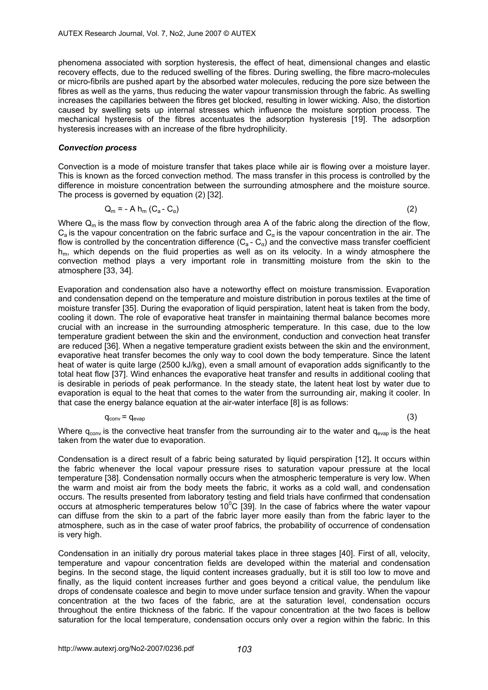phenomena associated with sorption hysteresis, the effect of heat, dimensional changes and elastic recovery effects, due to the reduced swelling of the fibres. During swelling, the fibre macro-molecules or micro-fibrils are pushed apart by the absorbed water molecules, reducing the pore size between the fibres as well as the yarns, thus reducing the water vapour transmission through the fabric. As swelling increases the capillaries between the fibres get blocked, resulting in lower wicking. Also, the distortion caused by swelling sets up internal stresses which influence the moisture sorption process. The mechanical hysteresis of the fibres accentuates the adsorption hysteresis [19]. The adsorption hysteresis increases with an increase of the fibre hydrophilicity.

#### *Convection process*

Convection is a mode of moisture transfer that takes place while air is flowing over a moisture layer. This is known as the forced convection method. The mass transfer in this process is controlled by the difference in moisture concentration between the surrounding atmosphere and the moisture source. The process is governed by equation (2) [32].

$$
Q_m = - A h_m (C_a - C_\alpha) \tag{2}
$$

Where  $Q_m$  is the mass flow by convection through area A of the fabric along the direction of the flow,  $C_a$  is the vapour concentration on the fabric surface and  $C_a$  is the vapour concentration in the air. The flow is controlled by the concentration difference  $(C_a - C_a)$  and the convective mass transfer coefficient  $h_m$ , which depends on the fluid properties as well as on its velocity. In a windy atmosphere the convection method plays a very important role in transmitting moisture from the skin to the atmosphere [33, 34].

Evaporation and condensation also have a noteworthy effect on moisture transmission. Evaporation and condensation depend on the temperature and moisture distribution in porous textiles at the time of moisture transfer [35]. During the evaporation of liquid perspiration, latent heat is taken from the body, cooling it down. The role of evaporative heat transfer in maintaining thermal balance becomes more crucial with an increase in the surrounding atmospheric temperature. In this case, due to the low temperature gradient between the skin and the environment, conduction and convection heat transfer are reduced [36]. When a negative temperature gradient exists between the skin and the environment, evaporative heat transfer becomes the only way to cool down the body temperature. Since the latent heat of water is quite large (2500 kJ/kg), even a small amount of evaporation adds significantly to the total heat flow [37]. Wind enhances the evaporative heat transfer and results in additional cooling that is desirable in periods of peak performance. In the steady state, the latent heat lost by water due to evaporation is equal to the heat that comes to the water from the surrounding air, making it cooler. In that case the energy balance equation at the air-water interface [8] is as follows:

$$
q_{conv} = q_{evap} \tag{3}
$$

Where  $q_{\text{conv}}$  is the convective heat transfer from the surrounding air to the water and  $q_{\text{evan}}$  is the heat taken from the water due to evaporation.

Condensation is a direct result of a fabric being saturated by liquid perspiration [12]**.** It occurs within the fabric whenever the local vapour pressure rises to saturation vapour pressure at the local temperature [38]. Condensation normally occurs when the atmospheric temperature is very low. When the warm and moist air from the body meets the fabric, it works as a cold wall, and condensation occurs. The results presented from laboratory testing and field trials have confirmed that condensation occurs at atmospheric temperatures below  $10^{\circ}$ C [39]. In the case of fabrics where the water vapour can diffuse from the skin to a part of the fabric layer more easily than from the fabric layer to the atmosphere, such as in the case of water proof fabrics, the probability of occurrence of condensation is very high.

Condensation in an initially dry porous material takes place in three stages [40]. First of all, velocity, temperature and vapour concentration fields are developed within the material and condensation begins. In the second stage, the liquid content increases gradually, but it is still too low to move and finally, as the liquid content increases further and goes beyond a critical value, the pendulum like drops of condensate coalesce and begin to move under surface tension and gravity. When the vapour concentration at the two faces of the fabric, are at the saturation level, condensation occurs throughout the entire thickness of the fabric. If the vapour concentration at the two faces is bellow saturation for the local temperature, condensation occurs only over a region within the fabric. In this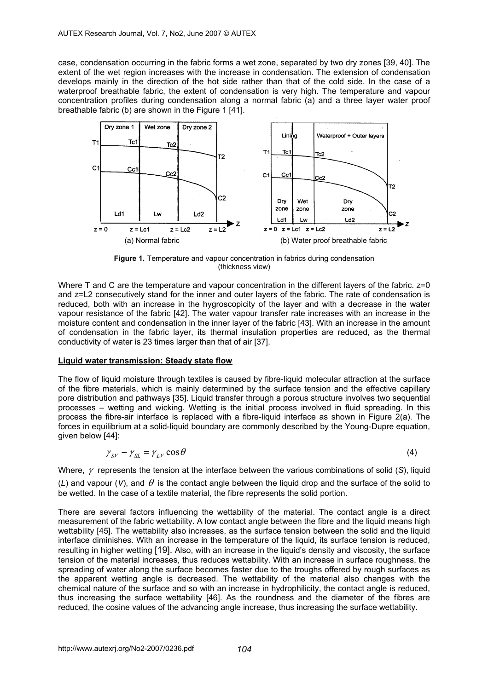case, condensation occurring in the fabric forms a wet zone, separated by two dry zones [39, 40]. The extent of the wet region increases with the increase in condensation. The extension of condensation develops mainly in the direction of the hot side rather than that of the cold side. In the case of a waterproof breathable fabric, the extent of condensation is very high. The temperature and vapour concentration profiles during condensation along a normal fabric (a) and a three layer water proof breathable fabric (b) are shown in the Figure 1 [41].



**Figure 1.** Temperature and vapour concentration in fabrics during condensation (thickness view)

Where T and C are the temperature and vapour concentration in the different layers of the fabric.  $z=0$ and z=L2 consecutively stand for the inner and outer layers of the fabric. The rate of condensation is reduced, both with an increase in the hygroscopicity of the layer and with a decrease in the water vapour resistance of the fabric [42]. The water vapour transfer rate increases with an increase in the moisture content and condensation in the inner layer of the fabric [43]. With an increase in the amount of condensation in the fabric layer, its thermal insulation properties are reduced, as the thermal conductivity of water is 23 times larger than that of air [37].

#### **Liquid water transmission: Steady state flow**

The flow of liquid moisture through textiles is caused by fibre-liquid molecular attraction at the surface of the fibre materials, which is mainly determined by the surface tension and the effective capillary pore distribution and pathways [35]. Liquid transfer through a porous structure involves two sequential processes – wetting and wicking. Wetting is the initial process involved in fluid spreading. In this process the fibre-air interface is replaced with a fibre-liquid interface as shown in Figure 2(a). The forces in equilibrium at a solid-liquid boundary are commonly described by the Young-Dupre equation, given below [44]:

$$
\gamma_{SV} - \gamma_{SL} = \gamma_{LV} \cos \theta \tag{4}
$$

Where, γ represents the tension at the interface between the various combinations of solid (*S*), liquid (L) and vapour (V), and  $\theta$  is the contact angle between the liquid drop and the surface of the solid to be wetted. In the case of a textile material, the fibre represents the solid portion.

There are several factors influencing the wettability of the material. The contact angle is a direct measurement of the fabric wettability. A low contact angle between the fibre and the liquid means high wettability [45]. The wettability also increases, as the surface tension between the solid and the liquid interface diminishes. With an increase in the temperature of the liquid, its surface tension is reduced, resulting in higher wetting [19]. Also, with an increase in the liquid's density and viscosity, the surface tension of the material increases, thus reduces wettability. With an increase in surface roughness, the spreading of water along the surface becomes faster due to the troughs offered by rough surfaces as the apparent wetting angle is decreased. The wettability of the material also changes with the chemical nature of the surface and so with an increase in hydrophilicity, the contact angle is reduced, thus increasing the surface wettability [46]. As the roundness and the diameter of the fibres are reduced, the cosine values of the advancing angle increase, thus increasing the surface wettability.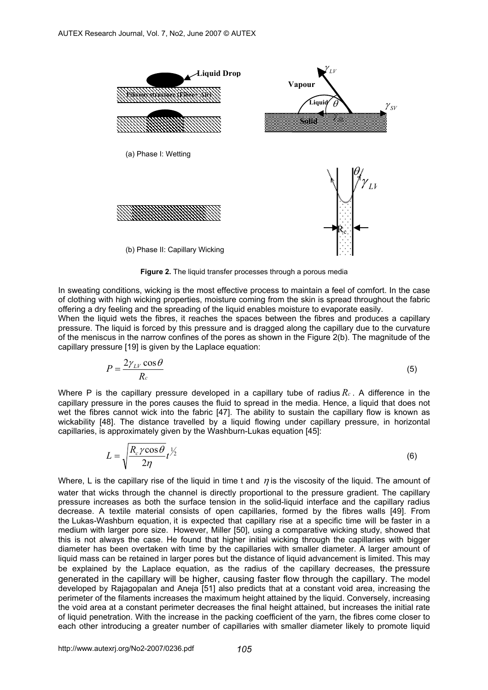

**Figure 2.** The liquid transfer processes through a porous media

In sweating conditions, wicking is the most effective process to maintain a feel of comfort. In the case of clothing with high wicking properties, moisture coming from the skin is spread throughout the fabric offering a dry feeling and the spreading of the liquid enables moisture to evaporate easily.

When the liquid wets the fibres, it reaches the spaces between the fibres and produces a capillary pressure. The liquid is forced by this pressure and is dragged along the capillary due to the curvature of the meniscus in the narrow confines of the pores as shown in the Figure 2(b). The magnitude of the capillary pressure [19] is given by the Laplace equation:

$$
P = \frac{2\gamma_{LV}\cos\theta}{R_c} \tag{5}
$$

Where P is the capillary pressure developed in a capillary tube of radius *Rc* . A difference in the capillary pressure in the pores causes the fluid to spread in the media. Hence, a liquid that does not wet the fibres cannot wick into the fabric [47]. The ability to sustain the capillary flow is known as wickability [48]. The distance travelled by a liquid flowing under capillary pressure, in horizontal capillaries, is approximately given by the Washburn-Lukas equation [45]:

$$
L = \sqrt{\frac{R_c \gamma \cos \theta}{2\eta}} t^{\frac{1}{2}}
$$
 (6)

Where, L is the capillary rise of the liquid in time t and  $\eta$  is the viscosity of the liquid. The amount of water that wicks through the channel is directly proportional to the pressure gradient. The capillary pressure increases as both the surface tension in the solid-liquid interface and the capillary radius decrease. A textile material consists of open capillaries, formed by the fibres walls [49]. From the Lukas-Washburn equation, it is expected that capillary rise at a specific time will be faster in a medium with larger pore size. However, Miller [50], using a comparative wicking study, showed that this is not always the case. He found that higher initial wicking through the capillaries with bigger diameter has been overtaken with time by the capillaries with smaller diameter. A larger amount of liquid mass can be retained in larger pores but the distance of liquid advancement is limited. This may be explained by the Laplace equation, as the radius of the capillary decreases, the pressure generated in the capillary will be higher, causing faster flow through the capillary. The model developed by Rajagopalan and Aneja [51] also predicts that at a constant void area, increasing the perimeter of the filaments increases the maximum height attained by the liquid. Conversely, increasing the void area at a constant perimeter decreases the final height attained, but increases the initial rate of liquid penetration. With the increase in the packing coefficient of the yarn, the fibres come closer to each other introducing a greater number of capillaries with smaller diameter likely to promote liquid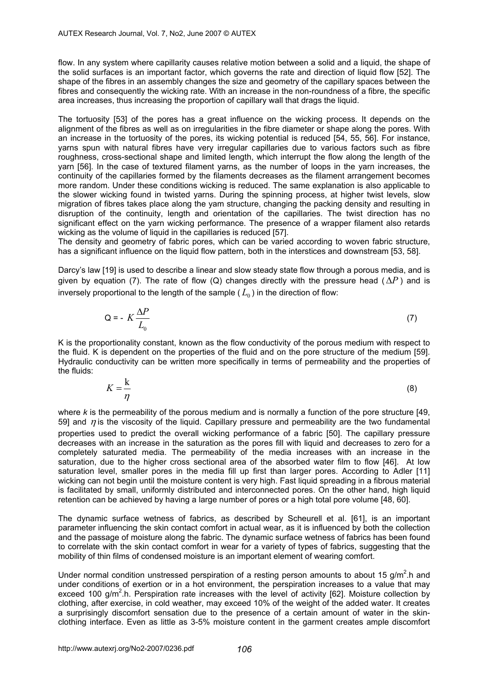flow. In any system where capillarity causes relative motion between a solid and a liquid, the shape of the solid surfaces is an important factor, which governs the rate and direction of liquid flow [52]. The shape of the fibres in an assembly changes the size and geometry of the capillary spaces between the fibres and consequently the wicking rate. With an increase in the non-roundness of a fibre, the specific area increases, thus increasing the proportion of capillary wall that drags the liquid.

The tortuosity [53] of the pores has a great influence on the wicking process. It depends on the alignment of the fibres as well as on irregularities in the fibre diameter or shape along the pores. With an increase in the tortuosity of the pores, its wicking potential is reduced [54, 55, 56]. For instance, yarns spun with natural fibres have very irregular capillaries due to various factors such as fibre roughness, cross-sectional shape and limited length, which interrupt the flow along the length of the yarn [56]. In the case of textured filament yarns, as the number of loops in the yarn increases, the continuity of the capillaries formed by the filaments decreases as the filament arrangement becomes more random. Under these conditions wicking is reduced. The same explanation is also applicable to the slower wicking found in twisted yarns. During the spinning process, at higher twist levels, slow migration of fibres takes place along the yam structure, changing the packing density and resulting in disruption of the continuity, length and orientation of the capillaries. The twist direction has no significant effect on the yarn wicking performance. The presence of a wrapper filament also retards wicking as the volume of liquid in the capillaries is reduced [57].

The density and geometry of fabric pores, which can be varied according to woven fabric structure, has a significant influence on the liquid flow pattern, both in the interstices and downstream [53, 58].

Darcy's law [19] is used to describe a linear and slow steady state flow through a porous media, and is given by equation (7). The rate of flow (Q) changes directly with the pressure head ( $\Delta P$ ) and is inversely proportional to the length of the sample  $(L_0)$  in the direction of flow:

$$
Q = -K \frac{\Delta P}{L_0} \tag{7}
$$

K is the proportionality constant, known as the flow conductivity of the porous medium with respect to the fluid. K is dependent on the properties of the fluid and on the pore structure of the medium [59]. Hydraulic conductivity can be written more specifically in terms of permeability and the properties of the fluids:

$$
K = \frac{k}{\eta} \tag{8}
$$

where *k* is the permeability of the porous medium and is normally a function of the pore structure [49, 59] and  $\eta$  is the viscosity of the liquid. Capillary pressure and permeability are the two fundamental properties used to predict the overall wicking performance of a fabric [50]. The capillary pressure decreases with an increase in the saturation as the pores fill with liquid and decreases to zero for a completely saturated media. The permeability of the media increases with an increase in the saturation, due to the higher cross sectional area of the absorbed water film to flow [46]. At low saturation level, smaller pores in the media fill up first than larger pores. According to Adler [11] wicking can not begin until the moisture content is very high. Fast liquid spreading in a fibrous material is facilitated by small, uniformly distributed and interconnected pores. On the other hand, high liquid retention can be achieved by having a large number of pores or a high total pore volume [48, 60].

The dynamic surface wetness of fabrics, as described by Scheurell et al. [61], is an important parameter influencing the skin contact comfort in actual wear, as it is influenced by both the collection and the passage of moisture along the fabric. The dynamic surface wetness of fabrics has been found to correlate with the skin contact comfort in wear for a variety of types of fabrics, suggesting that the mobility of thin films of condensed moisture is an important element of wearing comfort.

Under normal condition unstressed perspiration of a resting person amounts to about 15 g/m<sup>2</sup>.h and under conditions of exertion or in a hot environment, the perspiration increases to a value that may exceed 100 g/m<sup>2</sup>.h. Perspiration rate increases with the level of activity [62]. Moisture collection by clothing, after exercise, in cold weather, may exceed 10% of the weight of the added water. It creates a surprisingly discomfort sensation due to the presence of a certain amount of water in the skinclothing interface. Even as little as 3-5% moisture content in the garment creates ample discomfort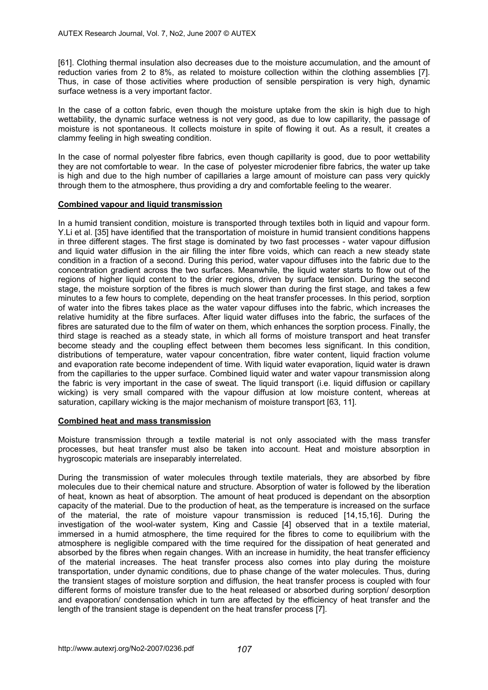[61]. Clothing thermal insulation also decreases due to the moisture accumulation, and the amount of reduction varies from 2 to 8%, as related to moisture collection within the clothing assemblies [7]. Thus, in case of those activities where production of sensible perspiration is very high, dynamic surface wetness is a very important factor.

In the case of a cotton fabric, even though the moisture uptake from the skin is high due to high wettability, the dynamic surface wetness is not very good, as due to low capillarity, the passage of moisture is not spontaneous. It collects moisture in spite of flowing it out. As a result, it creates a clammy feeling in high sweating condition.

In the case of normal polyester fibre fabrics, even though capillarity is good, due to poor wettability they are not comfortable to wear. In the case of polyester microdenier fibre fabrics, the water up take is high and due to the high number of capillaries a large amount of moisture can pass very quickly through them to the atmosphere, thus providing a dry and comfortable feeling to the wearer.

#### **Combined vapour and liquid transmission**

In a humid transient condition, moisture is transported through textiles both in liquid and vapour form. Y.Li et al. [35] have identified that the transportation of moisture in humid transient conditions happens in three different stages. The first stage is dominated by two fast processes - water vapour diffusion and liquid water diffusion in the air filling the inter fibre voids, which can reach a new steady state condition in a fraction of a second. During this period, water vapour diffuses into the fabric due to the concentration gradient across the two surfaces. Meanwhile, the liquid water starts to flow out of the regions of higher liquid content to the drier regions, driven by surface tension. During the second stage, the moisture sorption of the fibres is much slower than during the first stage, and takes a few minutes to a few hours to complete, depending on the heat transfer processes. In this period, sorption of water into the fibres takes place as the water vapour diffuses into the fabric, which increases the relative humidity at the fibre surfaces. After liquid water diffuses into the fabric, the surfaces of the fibres are saturated due to the film of water on them, which enhances the sorption process. Finally, the third stage is reached as a steady state, in which all forms of moisture transport and heat transfer become steady and the coupling effect between them becomes less significant. In this condition, distributions of temperature, water vapour concentration, fibre water content, liquid fraction volume and evaporation rate become independent of time. With liquid water evaporation, liquid water is drawn from the capillaries to the upper surface. Combined liquid water and water vapour transmission along the fabric is very important in the case of sweat. The liquid transport (i.e. liquid diffusion or capillary wicking) is very small compared with the vapour diffusion at low moisture content, whereas at saturation, capillary wicking is the major mechanism of moisture transport [63, 11].

#### **Combined heat and mass transmission**

Moisture transmission through a textile material is not only associated with the mass transfer processes, but heat transfer must also be taken into account. Heat and moisture absorption in hygroscopic materials are inseparably interrelated.

During the transmission of water molecules through textile materials, they are absorbed by fibre molecules due to their chemical nature and structure. Absorption of water is followed by the liberation of heat, known as heat of absorption. The amount of heat produced is dependant on the absorption capacity of the material. Due to the production of heat, as the temperature is increased on the surface of the material, the rate of moisture vapour transmission is reduced [14,15,16]. During the investigation of the wool-water system, King and Cassie [4] observed that in a textile material, immersed in a humid atmosphere, the time required for the fibres to come to equilibrium with the atmosphere is negligible compared with the time required for the dissipation of heat generated and absorbed by the fibres when regain changes. With an increase in humidity, the heat transfer efficiency of the material increases. The heat transfer process also comes into play during the moisture transportation, under dynamic conditions, due to phase change of the water molecules. Thus, during the transient stages of moisture sorption and diffusion, the heat transfer process is coupled with four different forms of moisture transfer due to the heat released or absorbed during sorption/ desorption and evaporation/ condensation which in turn are affected by the efficiency of heat transfer and the length of the transient stage is dependent on the heat transfer process [7].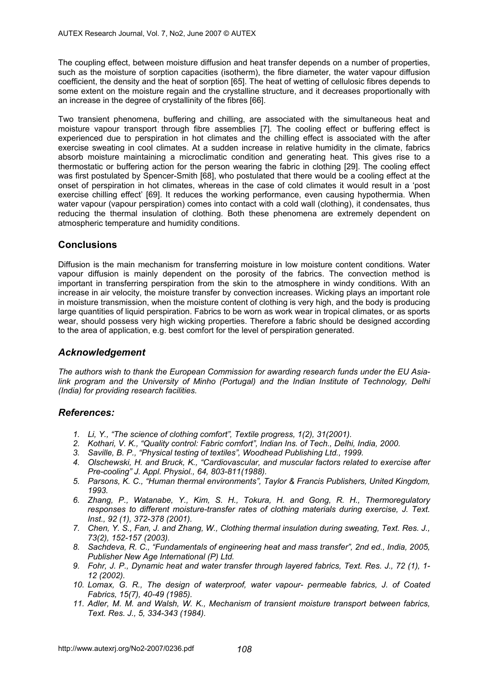The coupling effect, between moisture diffusion and heat transfer depends on a number of properties, such as the moisture of sorption capacities (isotherm), the fibre diameter, the water vapour diffusion coefficient, the density and the heat of sorption [65]. The heat of wetting of cellulosic fibres depends to some extent on the moisture regain and the crystalline structure, and it decreases proportionally with an increase in the degree of crystallinity of the fibres [66].

Two transient phenomena, buffering and chilling, are associated with the simultaneous heat and moisture vapour transport through fibre assemblies [7]. The cooling effect or buffering effect is experienced due to perspiration in hot climates and the chilling effect is associated with the after exercise sweating in cool climates. At a sudden increase in relative humidity in the climate, fabrics absorb moisture maintaining a microclimatic condition and generating heat. This gives rise to a thermostatic or buffering action for the person wearing the fabric in clothing [29]. The cooling effect was first postulated by Spencer-Smith [68], who postulated that there would be a cooling effect at the onset of perspiration in hot climates, whereas in the case of cold climates it would result in a 'post exercise chilling effect' [69]. It reduces the working performance, even causing hypothermia. When water vapour (vapour perspiration) comes into contact with a cold wall (clothing), it condensates, thus reducing the thermal insulation of clothing. Both these phenomena are extremely dependent on atmospheric temperature and humidity conditions.

# **Conclusions**

Diffusion is the main mechanism for transferring moisture in low moisture content conditions. Water vapour diffusion is mainly dependent on the porosity of the fabrics. The convection method is important in transferring perspiration from the skin to the atmosphere in windy conditions. With an increase in air velocity, the moisture transfer by convection increases. Wicking plays an important role in moisture transmission, when the moisture content of clothing is very high, and the body is producing large quantities of liquid perspiration. Fabrics to be worn as work wear in tropical climates, or as sports wear, should possess very high wicking properties. Therefore a fabric should be designed according to the area of application, e.g. best comfort for the level of perspiration generated.

# *Acknowledgement*

*The authors wish to thank the European Commission for awarding research funds under the EU Asialink program and the University of Minho (Portugal) and the Indian Institute of Technology, Delhi (India) for providing research facilities.* 

## *References:*

- *1. Li, Y., "The science of clothing comfort", Textile progress, 1(2), 31(2001).*
- *2. Kothari, V. K., "Quality control: Fabric comfort", Indian Ins. of Tech., Delhi, India, 2000.*
- *3. Saville, B. P., "Physical testing of textiles", Woodhead Publishing Ltd., 1999.*
- *4. Olschewski, H. and Bruck, K., "Cardiovascular, and muscular factors related to exercise after Pre-cooling" J. Appl. Physiol., 64, 803-811(1988).*
- *5. Parsons, K. C., "Human thermal environments", Taylor & Francis Publishers, United Kingdom, 1993.*
- *6. Zhang, P., Watanabe, Y., Kim, S. H., Tokura, H. and Gong, R. H., Thermoregulatory responses to different moisture-transfer rates of clothing materials during exercise, J. Text. Inst., 92 (1), 372-378 (2001).*
- *7. Chen, Y. S., Fan, J. and Zhang, W., Clothing thermal insulation during sweating, Text. Res. J., 73(2), 152-157 (2003).*
- *8. Sachdeva, R. C., "Fundamentals of engineering heat and mass transfer", 2nd ed., India, 2005, Publisher New Age International (P) Ltd.*
- *9. Fohr, J. P., Dynamic heat and water transfer through layered fabrics, Text. Res. J., 72 (1), 1- 12 (2002).*
- *10. Lomax, G. R., The design of waterproof, water vapour- permeable fabrics, J. of Coated Fabrics, 15(7), 40-49 (1985).*
- *11. Adler, M. M. and Walsh, W. K., Mechanism of transient moisture transport between fabrics, Text. Res. J., 5, 334-343 (1984).*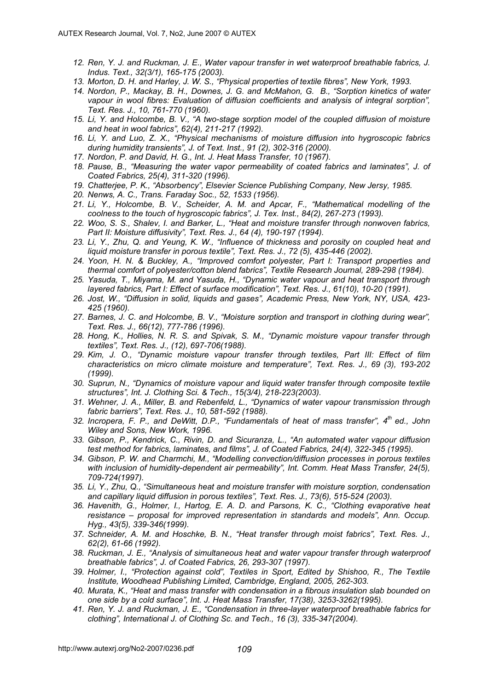- *12. Ren, Y. J. and Ruckman, J. E., Water vapour transfer in wet waterproof breathable fabrics, J. Indus. Text., 32(3/1), 165-175 (2003).*
- *13. Morton, D. H. and Harley, J. W. S., "Physical properties of textile fibres", New York, 1993.*
- *14. Nordon, P., Mackay, B. H., Downes, J. G. and McMahon, G. B., "Sorption kinetics of water vapour in wool fibres: Evaluation of diffusion coefficients and analysis of integral sorption", Text. Res. J., 10, 761-770 (1960).*
- *15. Li, Y. and Holcombe, B. V., "A two-stage sorption model of the coupled diffusion of moisture and heat in wool fabrics", 62(4), 211-217 (1992).*
- *16. Li, Y. and Luo, Z. X., "Physical mechanisms of moisture diffusion into hygroscopic fabrics during humidity transients", J. of Text. Inst., 91 (2), 302-316 (2000).*
- *17. Nordon, P. and David, H. G., Int. J. Heat Mass Transfer, 10 (1967).*
- *18. Pause, B., "Measuring the water vapor permeability of coated fabrics and laminates", J. of Coated Fabrics, 25(4), 311-320 (1996).*
- *19. Chatterjee, P. K., "Absorbency", Elsevier Science Publishing Company, New Jersy, 1985.*
- *20. Nenws, A. C., Trans. Faraday Soc., 52, 1533 (1956).*
- *21. Li, Y., Holcombe, B. V., Scheider, A. M. and Apcar, F., "Mathematical modelling of the coolness to the touch of hygroscopic fabrics", J. Tex. Inst., 84(2), 267-273 (1993).*
- *22. Woo, S. S., Shalev, I. and Barker, L., "Heat and moisture transfer through nonwoven fabrics, Part II: Moisture diffusivity", Text. Res. J., 64 (4), 190-197 (1994).*
- *23. Li, Y., Zhu, Q. and Yeung, K. W., "Influence of thickness and porosity on coupled heat and liquid moisture transfer in porous textile", Text. Res. J., 72 (5), 435-446 (2002).*
- *24. Yoon, H. N. & Buckley, A., "Improved comfort polyester, Part I: Transport properties and thermal comfort of polyester/cotton blend fabrics", Textile Research Journal, 289-298 (1984).*
- *25. Yasuda, T., Miyama, M. and Yasuda, H., "Dynamic water vapour and heat transport through layered fabrics, Part I: Effect of surface modification", Text. Res. J., 61(10), 10-20 (1991).*
- *26. Jost, W., "Diffusion in solid, liquids and gases", Academic Press, New York, NY, USA, 423- 425 (1960).*
- *27. Barnes, J. C. and Holcombe, B. V., "Moisture sorption and transport in clothing during wear", Text. Res. J., 66(12), 777-786 (1996).*
- *28. Hong, K., Hollies, N. R. S. and Spivak, S. M., "Dynamic moisture vapour transfer through textiles", Text. Res. J., (12), 697-706(1988).*
- *29. Kim, J. O., "Dynamic moisture vapour transfer through textiles, Part III: Effect of film characteristics on micro climate moisture and temperature", Text. Res. J., 69 (3), 193-202 (1999).*
- *30. Suprun, N., "Dynamics of moisture vapour and liquid water transfer through composite textile structures", Int. J. Clothing Sci. & Tech., 15(3/4), 218-223(2003).*
- *31. Wehner, J. A., Miller, B. and Rebenfeld, L., "Dynamics of water vapour transmission through fabric barriers", Text. Res. J., 10, 581-592 (1988).*
- *32. Incropera, F. P., and DeWitt, D.P., "Fundamentals of heat of mass transfer", 4th ed., John Wiley and Sons, New Work, 1996.*
- *33. Gibson, P., Kendrick, C., Rivin, D. and Sicuranza, L., "An automated water vapour diffusion test method for fabrics, laminates, and films", J. of Coated Fabrics, 24(4), 322-345 (1995).*
- *34. Gibson, P. W. and Charmchi, M., "Modelling convection/diffusion processes in porous textiles with inclusion of humidity-dependent air permeability", Int. Comm. Heat Mass Transfer, 24(5), 709-724(1997).*
- *35. Li, Y., Zhu, Q., "Simultaneous heat and moisture transfer with moisture sorption, condensation and capillary liquid diffusion in porous textiles", Text. Res. J., 73(6), 515-524 (2003).*
- *36. Havenith, G., Holmer, I., Hartog, E. A. D. and Parsons, K. C., "Clothing evaporative heat resistance – proposal for improved representation in standards and models", Ann. Occup. Hyg., 43(5), 339-346(1999).*
- *37. Schneider, A. M. and Hoschke, B. N., "Heat transfer through moist fabrics", Text. Res. J., 62(2), 61-66 (1992).*
- *38. Ruckman, J. E., "Analysis of simultaneous heat and water vapour transfer through waterproof breathable fabrics", J. of Coated Fabrics, 26, 293-307 (1997).*
- *39. Holmer, I., "Protection against cold", Textiles in Sport, Edited by Shishoo, R., The Textile Institute, Woodhead Publishing Limited, Cambridge, England, 2005, 262-303.*
- *40. Murata, K., "Heat and mass transfer with condensation in a fibrous insulation slab bounded on one side by a cold surface", Int. J. Heat Mass Transfer, 17(38), 3253-3262(1995).*
- *41. Ren, Y. J. and Ruckman, J. E., "Condensation in three-layer waterproof breathable fabrics for clothing", International J. of Clothing Sc. and Tech., 16 (3), 335-347(2004).*